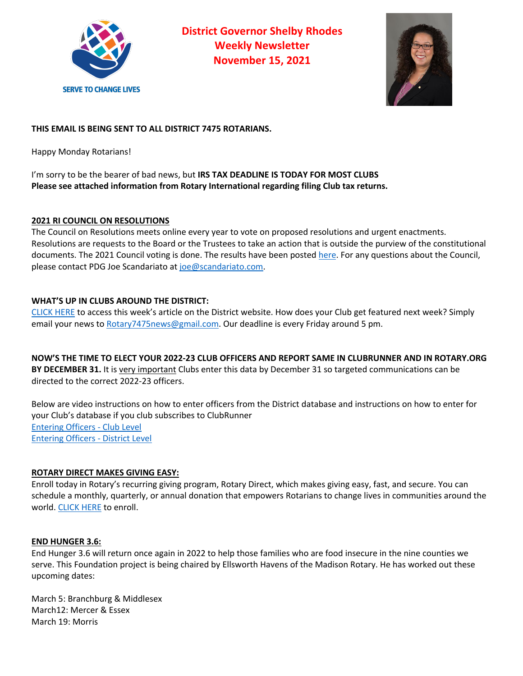

**District Governor Shelby Rhodes Weekly Newsletter November 15, 2021**



# **THIS EMAIL IS BEING SENT TO ALL DISTRICT 7475 ROTARIANS.**

Happy Monday Rotarians!

I'm sorry to be the bearer of bad news, but **IRS TAX DEADLINE IS TODAY FOR MOST CLUBS Please see attached information from Rotary International regarding filing Club tax returns.**

## **2021 RI COUNCIL ON RESOLUTIONS**

The Council on Resolutions meets online every year to vote on proposed resolutions and urgent enactments. Resolutions are requests to the Board or the Trustees to take an action that is outside the purview of the constitutional documents. The 2021 Council voting is done. The results have been posted here. For any questions about the Council, please contact PDG Joe Scandariato at joe@scandariato.com.

## **WHAT'S UP IN CLUBS AROUND THE DISTRICT:**

CLICK HERE to access this week's article on the District website. How does your Club get featured next week? Simply email your news to Rotary7475news@gmail.com. Our deadline is every Friday around 5 pm.

**NOW'S THE TIME TO ELECT YOUR 2022-23 CLUB OFFICERS AND REPORT SAME IN CLUBRUNNER AND IN ROTARY.ORG BY DECEMBER 31.** It is very important Clubs enter this data by December 31 so targeted communications can be directed to the correct 2022-23 officers.

Below are video instructions on how to enter officers from the District database and instructions on how to enter for your Club's database if you club subscribes to ClubRunner Entering Officers - Club Level Entering Officers - District Level

## **ROTARY DIRECT MAKES GIVING EASY:**

Enroll today in Rotary's recurring giving program, Rotary Direct, which makes giving easy, fast, and secure. You can schedule a monthly, quarterly, or annual donation that empowers Rotarians to change lives in communities around the world. CLICK HERE to enroll.

### **END HUNGER 3.6:**

End Hunger 3.6 will return once again in 2022 to help those families who are food insecure in the nine counties we serve. This Foundation project is being chaired by Ellsworth Havens of the Madison Rotary. He has worked out these upcoming dates:

March 5: Branchburg & Middlesex March12: Mercer & Essex March 19: Morris